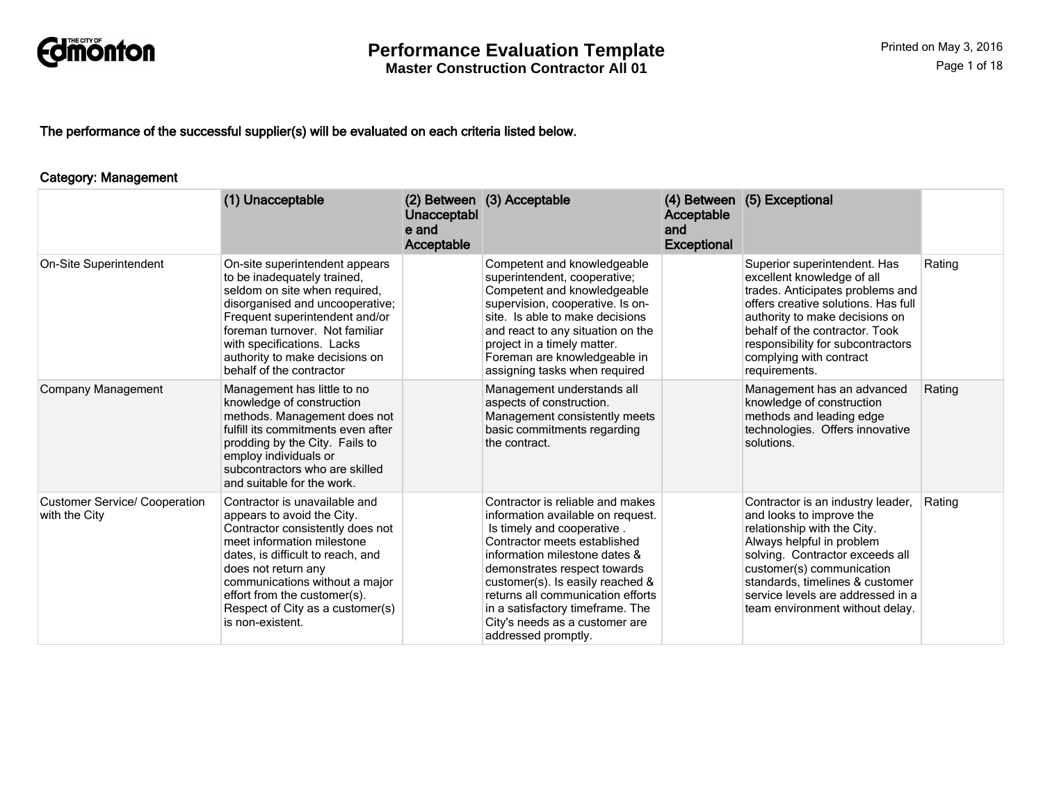

The performance of the successful supplier(s) will be evaluated on each criteria listed below.

#### Category: Management

|                                                       | (1) Unacceptable                                                                                                                                                                                                                                                                                                    | Unacceptabl<br>e and<br>Acceptable | (2) Between (3) Acceptable                                                                                                                                                                                                                                                                                                                                                 | Acceptable<br>and<br><b>Exceptional</b> | (4) Between (5) Exceptional                                                                                                                                                                                                                                                                          |        |
|-------------------------------------------------------|---------------------------------------------------------------------------------------------------------------------------------------------------------------------------------------------------------------------------------------------------------------------------------------------------------------------|------------------------------------|----------------------------------------------------------------------------------------------------------------------------------------------------------------------------------------------------------------------------------------------------------------------------------------------------------------------------------------------------------------------------|-----------------------------------------|------------------------------------------------------------------------------------------------------------------------------------------------------------------------------------------------------------------------------------------------------------------------------------------------------|--------|
| On-Site Superintendent                                | On-site superintendent appears<br>to be inadequately trained,<br>seldom on site when required.<br>disorganised and uncooperative;<br>Frequent superintendent and/or<br>foreman turnover. Not familiar<br>with specifications. Lacks<br>authority to make decisions on<br>behalf of the contractor                   |                                    | Competent and knowledgeable<br>superintendent, cooperative;<br>Competent and knowledgeable<br>supervision, cooperative. Is on-<br>site. Is able to make decisions<br>and react to any situation on the<br>project in a timely matter.<br>Foreman are knowledgeable in<br>assigning tasks when required                                                                     |                                         | Superior superintendent. Has<br>excellent knowledge of all<br>trades. Anticipates problems and<br>offers creative solutions. Has full<br>authority to make decisions on<br>behalf of the contractor. Took<br>responsibility for subcontractors<br>complying with contract<br>requirements.           | Rating |
| Company Management                                    | Management has little to no<br>knowledge of construction<br>methods. Management does not<br>fulfill its commitments even after<br>prodding by the City. Fails to<br>employ individuals or<br>subcontractors who are skilled<br>and suitable for the work.                                                           |                                    | Management understands all<br>aspects of construction.<br>Management consistently meets<br>basic commitments regarding<br>the contract.                                                                                                                                                                                                                                    |                                         | Management has an advanced<br>knowledge of construction<br>methods and leading edge<br>technologies. Offers innovative<br>solutions.                                                                                                                                                                 | Rating |
| <b>Customer Service/ Cooperation</b><br>with the City | Contractor is unavailable and<br>appears to avoid the City.<br>Contractor consistently does not<br>meet information milestone<br>dates, is difficult to reach, and<br>does not return any<br>communications without a major<br>effort from the customer(s).<br>Respect of City as a customer(s)<br>is non-existent. |                                    | Contractor is reliable and makes<br>information available on request.<br>Is timely and cooperative.<br>Contractor meets established<br>information milestone dates &<br>demonstrates respect towards<br>customer(s). Is easily reached &<br>returns all communication efforts<br>in a satisfactory timeframe. The<br>City's needs as a customer are<br>addressed promptly. |                                         | Contractor is an industry leader,<br>and looks to improve the<br>relationship with the City.<br>Always helpful in problem<br>solving. Contractor exceeds all<br>customer(s) communication<br>standards, timelines & customer<br>service levels are addressed in a<br>team environment without delay. | Rating |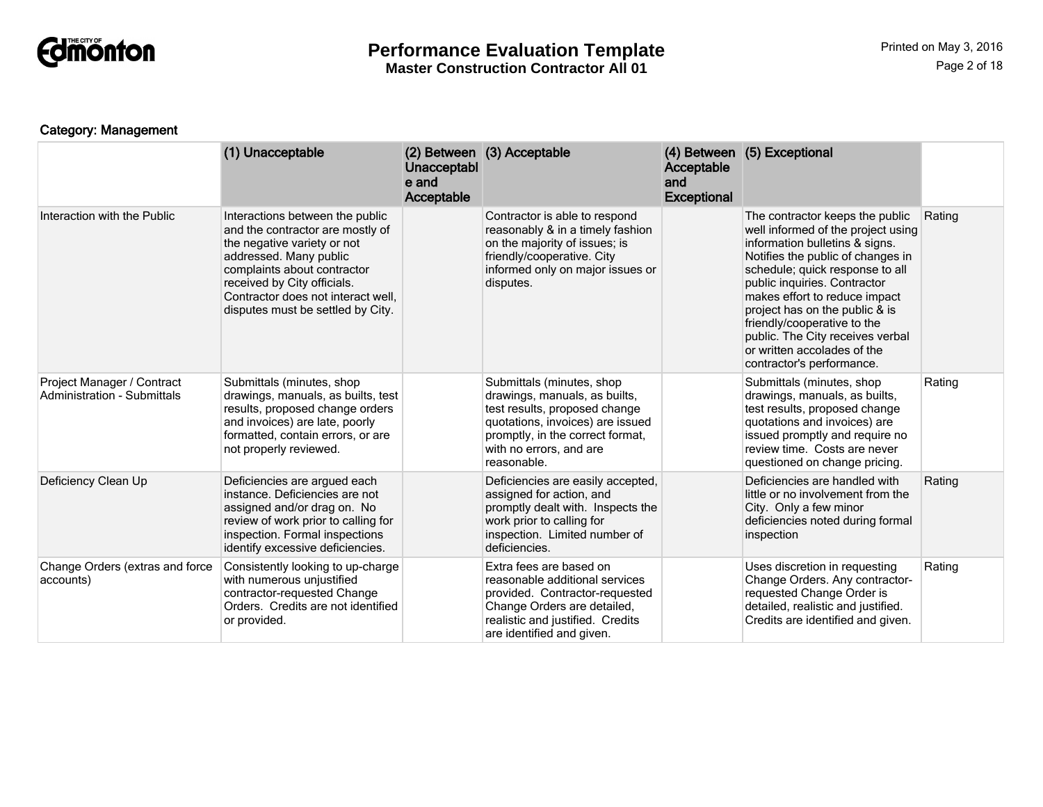

# **Performance Evaluation Template**

**Master Construction Contractor All 01**

# Category: Management

|                                                           | (1) Unacceptable                                                                                                                                                                                                                                                      | Unacceptabl<br>e and<br>Acceptable | (2) Between (3) Acceptable                                                                                                                                                                                    | Acceptable<br>and<br><b>Exceptional</b> | (4) Between (5) Exceptional                                                                                                                                                                                                                                                                                                                                                                                       |        |
|-----------------------------------------------------------|-----------------------------------------------------------------------------------------------------------------------------------------------------------------------------------------------------------------------------------------------------------------------|------------------------------------|---------------------------------------------------------------------------------------------------------------------------------------------------------------------------------------------------------------|-----------------------------------------|-------------------------------------------------------------------------------------------------------------------------------------------------------------------------------------------------------------------------------------------------------------------------------------------------------------------------------------------------------------------------------------------------------------------|--------|
| Interaction with the Public                               | Interactions between the public<br>and the contractor are mostly of<br>the negative variety or not<br>addressed. Many public<br>complaints about contractor<br>received by City officials.<br>Contractor does not interact well,<br>disputes must be settled by City. |                                    | Contractor is able to respond<br>reasonably & in a timely fashion<br>on the majority of issues; is<br>friendly/cooperative. City<br>informed only on major issues or<br>disputes.                             |                                         | The contractor keeps the public<br>well informed of the project using<br>information bulletins & signs.<br>Notifies the public of changes in<br>schedule; quick response to all<br>public inquiries. Contractor<br>makes effort to reduce impact<br>project has on the public & is<br>friendly/cooperative to the<br>public. The City receives verbal<br>or written accolades of the<br>contractor's performance. | Rating |
| Project Manager / Contract<br>Administration - Submittals | Submittals (minutes, shop<br>drawings, manuals, as builts, test<br>results, proposed change orders<br>and invoices) are late, poorly<br>formatted, contain errors, or are<br>not properly reviewed.                                                                   |                                    | Submittals (minutes, shop<br>drawings, manuals, as builts,<br>test results, proposed change<br>quotations, invoices) are issued<br>promptly, in the correct format,<br>with no errors, and are<br>reasonable. |                                         | Submittals (minutes, shop<br>drawings, manuals, as builts,<br>test results, proposed change<br>quotations and invoices) are<br>issued promptly and require no<br>review time. Costs are never<br>questioned on change pricing.                                                                                                                                                                                    | Rating |
| Deficiency Clean Up                                       | Deficiencies are argued each<br>instance. Deficiencies are not<br>assigned and/or drag on. No<br>review of work prior to calling for<br>inspection. Formal inspections<br>identify excessive deficiencies.                                                            |                                    | Deficiencies are easily accepted,<br>assigned for action, and<br>promptly dealt with. Inspects the<br>work prior to calling for<br>inspection. Limited number of<br>deficiencies.                             |                                         | Deficiencies are handled with<br>little or no involvement from the<br>City. Only a few minor<br>deficiencies noted during formal<br>inspection                                                                                                                                                                                                                                                                    | Rating |
| Change Orders (extras and force<br>accounts)              | Consistently looking to up-charge<br>with numerous unjustified<br>contractor-requested Change<br>Orders. Credits are not identified<br>or provided.                                                                                                                   |                                    | Extra fees are based on<br>reasonable additional services<br>provided. Contractor-requested<br>Change Orders are detailed,<br>realistic and justified. Credits<br>are identified and given.                   |                                         | Uses discretion in requesting<br>Change Orders. Any contractor-<br>requested Change Order is<br>detailed, realistic and justified.<br>Credits are identified and given.                                                                                                                                                                                                                                           | Rating |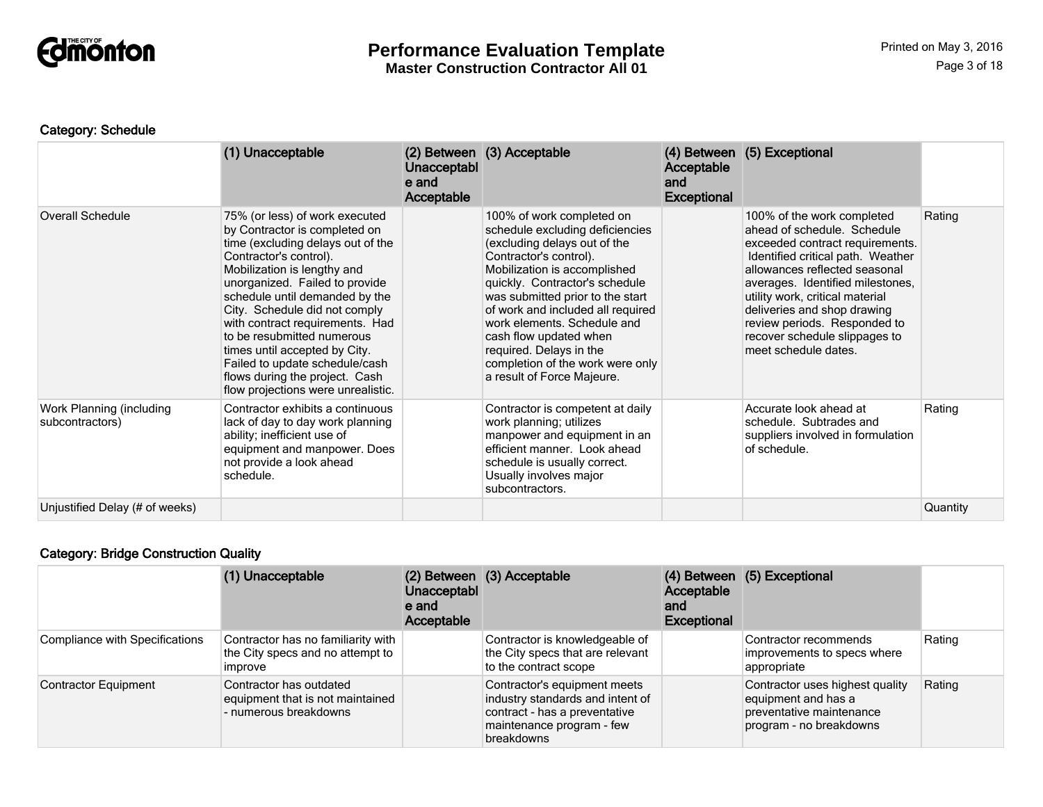

#### Category: Schedule

|                                             | (1) Unacceptable                                                                                                                                                                                                                                                                                                                                                                                                                                                               | Unacceptabl<br>e and<br>Acceptable | (2) Between (3) Acceptable                                                                                                                                                                                                                                                                                                                                                                                              | Acceptable<br>and<br><b>Exceptional</b> | (4) Between (5) Exceptional                                                                                                                                                                                                                                                                                                                                       |          |
|---------------------------------------------|--------------------------------------------------------------------------------------------------------------------------------------------------------------------------------------------------------------------------------------------------------------------------------------------------------------------------------------------------------------------------------------------------------------------------------------------------------------------------------|------------------------------------|-------------------------------------------------------------------------------------------------------------------------------------------------------------------------------------------------------------------------------------------------------------------------------------------------------------------------------------------------------------------------------------------------------------------------|-----------------------------------------|-------------------------------------------------------------------------------------------------------------------------------------------------------------------------------------------------------------------------------------------------------------------------------------------------------------------------------------------------------------------|----------|
| <b>Overall Schedule</b>                     | 75% (or less) of work executed<br>by Contractor is completed on<br>time (excluding delays out of the<br>Contractor's control).<br>Mobilization is lengthy and<br>unorganized. Failed to provide<br>schedule until demanded by the<br>City. Schedule did not comply<br>with contract requirements. Had<br>to be resubmitted numerous<br>times until accepted by City.<br>Failed to update schedule/cash<br>flows during the project. Cash<br>flow projections were unrealistic. |                                    | 100% of work completed on<br>schedule excluding deficiencies<br>(excluding delays out of the<br>Contractor's control).<br>Mobilization is accomplished<br>quickly. Contractor's schedule<br>was submitted prior to the start<br>of work and included all required<br>work elements. Schedule and<br>cash flow updated when<br>required. Delays in the<br>completion of the work were only<br>a result of Force Majeure. |                                         | 100% of the work completed<br>ahead of schedule. Schedule<br>exceeded contract requirements.<br>Identified critical path. Weather<br>allowances reflected seasonal<br>averages. Identified milestones,<br>utility work, critical material<br>deliveries and shop drawing<br>review periods. Responded to<br>recover schedule slippages to<br>meet schedule dates. | Rating   |
| Work Planning (including<br>subcontractors) | Contractor exhibits a continuous<br>lack of day to day work planning<br>ability; inefficient use of<br>equipment and manpower. Does<br>not provide a look ahead<br>schedule.                                                                                                                                                                                                                                                                                                   |                                    | Contractor is competent at daily<br>work planning; utilizes<br>manpower and equipment in an<br>efficient manner. Look ahead<br>schedule is usually correct.<br>Usually involves major<br>subcontractors.                                                                                                                                                                                                                |                                         | Accurate look ahead at<br>schedule. Subtrades and<br>suppliers involved in formulation<br>of schedule.                                                                                                                                                                                                                                                            | Rating   |
| Unjustified Delay (# of weeks)              |                                                                                                                                                                                                                                                                                                                                                                                                                                                                                |                                    |                                                                                                                                                                                                                                                                                                                                                                                                                         |                                         |                                                                                                                                                                                                                                                                                                                                                                   | Quantity |

# Category: Bridge Construction Quality

|                                       | (1) Unacceptable                                                                     | Unacceptabl<br>e and<br>Acceptable | (2) Between (3) Acceptable                                                                                                                   | Acceptable<br>and<br><b>Exceptional</b> | (4) Between (5) Exceptional                                                                                   |        |
|---------------------------------------|--------------------------------------------------------------------------------------|------------------------------------|----------------------------------------------------------------------------------------------------------------------------------------------|-----------------------------------------|---------------------------------------------------------------------------------------------------------------|--------|
| <b>Compliance with Specifications</b> | Contractor has no familiarity with<br>the City specs and no attempt to<br>improve    |                                    | Contractor is knowledgeable of<br>the City specs that are relevant<br>to the contract scope                                                  |                                         | Contractor recommends<br>improvements to specs where<br>appropriate                                           | Rating |
| <b>Contractor Equipment</b>           | Contractor has outdated<br>equipment that is not maintained<br>- numerous breakdowns |                                    | Contractor's equipment meets<br>industry standards and intent of<br>contract - has a preventative<br>maintenance program - few<br>breakdowns |                                         | Contractor uses highest quality<br>equipment and has a<br>preventative maintenance<br>program - no breakdowns | Rating |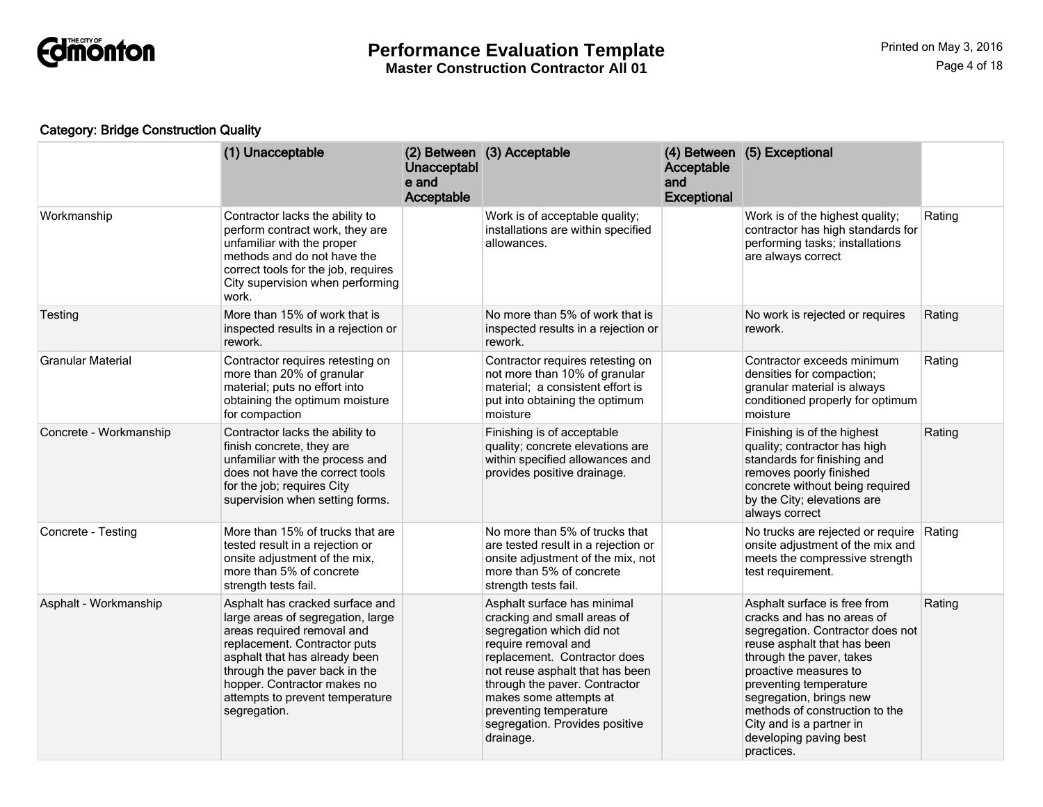

# Category: Bridge Construction Quality

|                          | (1) Unacceptable                                                                                                                                                                                                                                                                       | <b>Unacceptabl</b><br>e and<br>Acceptable | (2) Between (3) Acceptable                                                                                                                                                                                                                                                                                            | Acceptable<br>and<br><b>Exceptional</b> | (4) Between (5) Exceptional                                                                                                                                                                                                                                                                                                                   |        |
|--------------------------|----------------------------------------------------------------------------------------------------------------------------------------------------------------------------------------------------------------------------------------------------------------------------------------|-------------------------------------------|-----------------------------------------------------------------------------------------------------------------------------------------------------------------------------------------------------------------------------------------------------------------------------------------------------------------------|-----------------------------------------|-----------------------------------------------------------------------------------------------------------------------------------------------------------------------------------------------------------------------------------------------------------------------------------------------------------------------------------------------|--------|
| Workmanship              | Contractor lacks the ability to<br>perform contract work, they are<br>unfamiliar with the proper<br>methods and do not have the<br>correct tools for the job, requires<br>City supervision when performing<br>work.                                                                    |                                           | Work is of acceptable quality;<br>installations are within specified<br>allowances.                                                                                                                                                                                                                                   |                                         | Work is of the highest quality;<br>contractor has high standards for<br>performing tasks; installations<br>are always correct                                                                                                                                                                                                                 | Rating |
| Testing                  | More than 15% of work that is<br>inspected results in a rejection or<br>rework.                                                                                                                                                                                                        |                                           | No more than 5% of work that is<br>inspected results in a rejection or<br>rework.                                                                                                                                                                                                                                     |                                         | No work is rejected or requires<br>rework.                                                                                                                                                                                                                                                                                                    | Rating |
| <b>Granular Material</b> | Contractor requires retesting on<br>more than 20% of granular<br>material; puts no effort into<br>obtaining the optimum moisture<br>for compaction                                                                                                                                     |                                           | Contractor requires retesting on<br>not more than 10% of granular<br>material; a consistent effort is<br>put into obtaining the optimum<br>moisture                                                                                                                                                                   |                                         | Contractor exceeds minimum<br>densities for compaction;<br>granular material is always<br>conditioned properly for optimum<br>moisture                                                                                                                                                                                                        | Rating |
| Concrete - Workmanship   | Contractor lacks the ability to<br>finish concrete, they are<br>unfamiliar with the process and<br>does not have the correct tools<br>for the job; requires City<br>supervision when setting forms.                                                                                    |                                           | Finishing is of acceptable<br>quality; concrete elevations are<br>within specified allowances and<br>provides positive drainage.                                                                                                                                                                                      |                                         | Finishing is of the highest<br>quality; contractor has high<br>standards for finishing and<br>removes poorly finished<br>concrete without being required<br>by the City; elevations are<br>always correct                                                                                                                                     | Rating |
| Concrete - Testing       | More than 15% of trucks that are<br>tested result in a rejection or<br>onsite adjustment of the mix,<br>more than 5% of concrete<br>strength tests fail.                                                                                                                               |                                           | No more than 5% of trucks that<br>are tested result in a rejection or<br>onsite adjustment of the mix, not<br>more than 5% of concrete<br>strength tests fail.                                                                                                                                                        |                                         | No trucks are rejected or require<br>onsite adjustment of the mix and<br>meets the compressive strength<br>test requirement.                                                                                                                                                                                                                  | Rating |
| Asphalt - Workmanship    | Asphalt has cracked surface and<br>large areas of segregation, large<br>areas required removal and<br>replacement. Contractor puts<br>asphalt that has already been<br>through the paver back in the<br>hopper. Contractor makes no<br>attempts to prevent temperature<br>segregation. |                                           | Asphalt surface has minimal<br>cracking and small areas of<br>segregation which did not<br>require removal and<br>replacement. Contractor does<br>not reuse asphalt that has been<br>through the paver. Contractor<br>makes some attempts at<br>preventing temperature<br>segregation. Provides positive<br>drainage. |                                         | Asphalt surface is free from<br>cracks and has no areas of<br>segregation. Contractor does not<br>reuse asphalt that has been<br>through the paver, takes<br>proactive measures to<br>preventing temperature<br>segregation, brings new<br>methods of construction to the<br>City and is a partner in<br>developing paving best<br>practices. | Rating |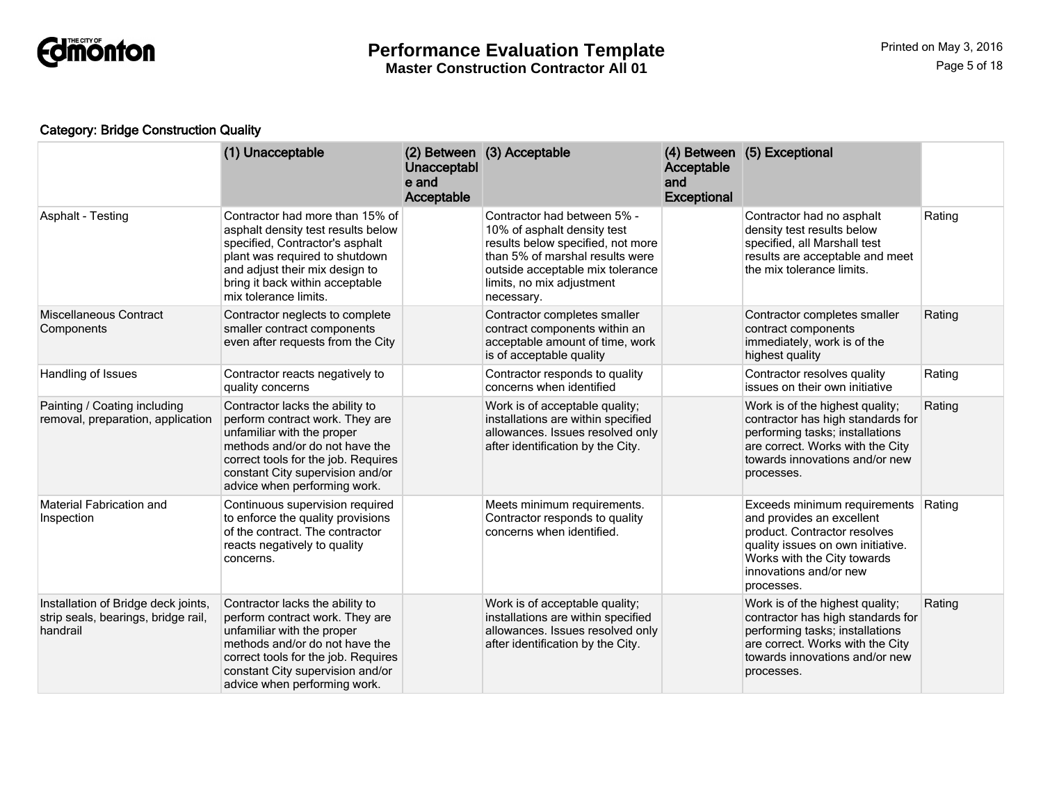

# Category: Bridge Construction Quality

|                                                                                        | (1) Unacceptable                                                                                                                                                                                                                              | Unacceptabl<br>e and<br>Acceptable | (2) Between (3) Acceptable                                                                                                                                                                                        | Acceptable<br>and<br>Exceptional | (4) Between (5) Exceptional                                                                                                                                                                           |        |
|----------------------------------------------------------------------------------------|-----------------------------------------------------------------------------------------------------------------------------------------------------------------------------------------------------------------------------------------------|------------------------------------|-------------------------------------------------------------------------------------------------------------------------------------------------------------------------------------------------------------------|----------------------------------|-------------------------------------------------------------------------------------------------------------------------------------------------------------------------------------------------------|--------|
| Asphalt - Testing                                                                      | Contractor had more than 15% of<br>asphalt density test results below<br>specified, Contractor's asphalt<br>plant was required to shutdown<br>and adjust their mix design to<br>bring it back within acceptable<br>mix tolerance limits.      |                                    | Contractor had between 5% -<br>10% of asphalt density test<br>results below specified, not more<br>than 5% of marshal results were<br>outside acceptable mix tolerance<br>limits, no mix adjustment<br>necessary. |                                  | Contractor had no asphalt<br>density test results below<br>specified, all Marshall test<br>results are acceptable and meet<br>the mix tolerance limits.                                               | Rating |
| Miscellaneous Contract<br>Components                                                   | Contractor neglects to complete<br>smaller contract components<br>even after requests from the City                                                                                                                                           |                                    | Contractor completes smaller<br>contract components within an<br>acceptable amount of time, work<br>is of acceptable quality                                                                                      |                                  | Contractor completes smaller<br>contract components<br>immediately, work is of the<br>highest quality                                                                                                 | Rating |
| Handling of Issues                                                                     | Contractor reacts negatively to<br>quality concerns                                                                                                                                                                                           |                                    | Contractor responds to quality<br>concerns when identified                                                                                                                                                        |                                  | Contractor resolves quality<br>issues on their own initiative                                                                                                                                         | Rating |
| Painting / Coating including<br>removal, preparation, application                      | Contractor lacks the ability to<br>perform contract work. They are<br>unfamiliar with the proper<br>methods and/or do not have the<br>correct tools for the job. Requires<br>constant City supervision and/or<br>advice when performing work. |                                    | Work is of acceptable quality;<br>installations are within specified<br>allowances. Issues resolved only<br>after identification by the City.                                                                     |                                  | Work is of the highest quality;<br>contractor has high standards for<br>performing tasks; installations<br>are correct. Works with the City<br>towards innovations and/or new<br>processes.           | Rating |
| <b>Material Fabrication and</b><br>Inspection                                          | Continuous supervision required<br>to enforce the quality provisions<br>of the contract. The contractor<br>reacts negatively to quality<br>concerns.                                                                                          |                                    | Meets minimum requirements.<br>Contractor responds to quality<br>concerns when identified.                                                                                                                        |                                  | Exceeds minimum requirements<br>and provides an excellent<br>product. Contractor resolves<br>quality issues on own initiative.<br>Works with the City towards<br>innovations and/or new<br>processes. | Rating |
| Installation of Bridge deck joints,<br>strip seals, bearings, bridge rail,<br>handrail | Contractor lacks the ability to<br>perform contract work. They are<br>unfamiliar with the proper<br>methods and/or do not have the<br>correct tools for the job. Requires<br>constant City supervision and/or<br>advice when performing work. |                                    | Work is of acceptable quality;<br>installations are within specified<br>allowances. Issues resolved only<br>after identification by the City.                                                                     |                                  | Work is of the highest quality;<br>contractor has high standards for<br>performing tasks; installations<br>are correct. Works with the City<br>towards innovations and/or new<br>processes.           | Rating |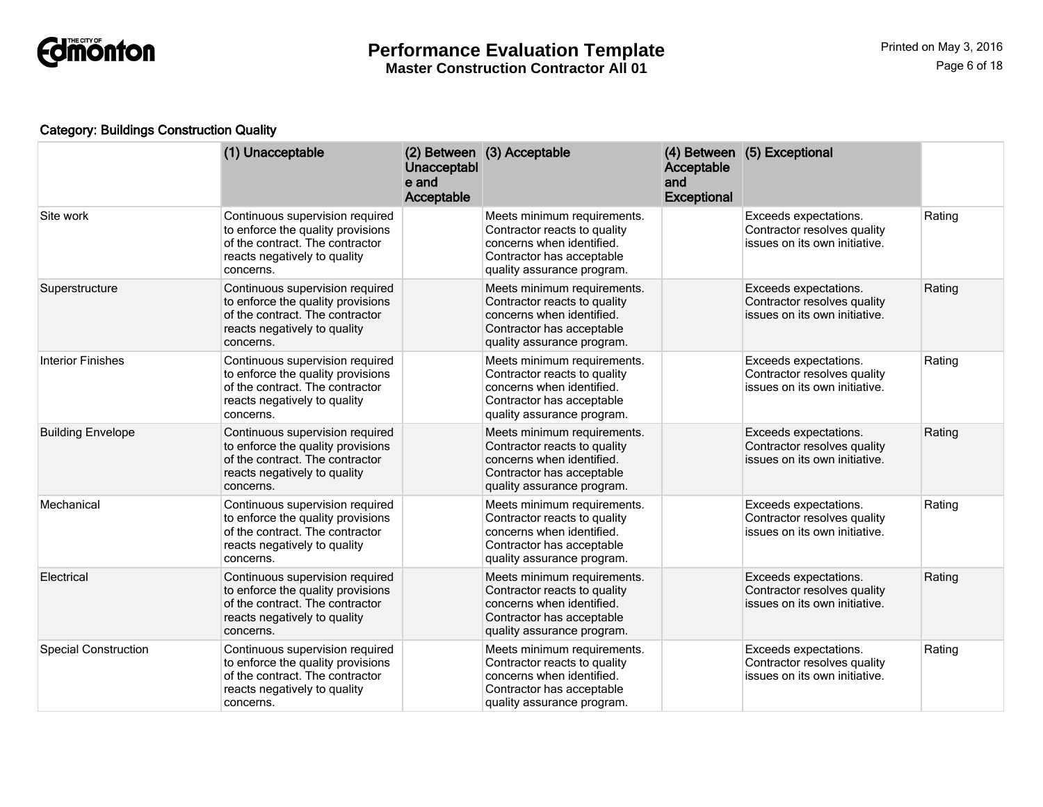

# Category: Buildings Construction Quality

|                             | (1) Unacceptable                                                                                                                                     | Unacceptabl<br>e and<br>Acceptable | (2) Between (3) Acceptable                                                                                                                          | Acceptable<br>and<br><b>Exceptional</b> | (4) Between (5) Exceptional                                                           |        |
|-----------------------------|------------------------------------------------------------------------------------------------------------------------------------------------------|------------------------------------|-----------------------------------------------------------------------------------------------------------------------------------------------------|-----------------------------------------|---------------------------------------------------------------------------------------|--------|
| Site work                   | Continuous supervision required<br>to enforce the quality provisions<br>of the contract. The contractor<br>reacts negatively to quality<br>concerns. |                                    | Meets minimum requirements.<br>Contractor reacts to quality<br>concerns when identified.<br>Contractor has acceptable<br>quality assurance program. |                                         | Exceeds expectations.<br>Contractor resolves quality<br>issues on its own initiative. | Rating |
| Superstructure              | Continuous supervision required<br>to enforce the quality provisions<br>of the contract. The contractor<br>reacts negatively to quality<br>concerns. |                                    | Meets minimum requirements.<br>Contractor reacts to quality<br>concerns when identified.<br>Contractor has acceptable<br>quality assurance program. |                                         | Exceeds expectations.<br>Contractor resolves quality<br>issues on its own initiative. | Rating |
| <b>Interior Finishes</b>    | Continuous supervision required<br>to enforce the quality provisions<br>of the contract. The contractor<br>reacts negatively to quality<br>concerns. |                                    | Meets minimum requirements.<br>Contractor reacts to quality<br>concerns when identified.<br>Contractor has acceptable<br>quality assurance program. |                                         | Exceeds expectations.<br>Contractor resolves quality<br>issues on its own initiative. | Rating |
| <b>Building Envelope</b>    | Continuous supervision required<br>to enforce the quality provisions<br>of the contract. The contractor<br>reacts negatively to quality<br>concerns. |                                    | Meets minimum requirements.<br>Contractor reacts to quality<br>concerns when identified.<br>Contractor has acceptable<br>quality assurance program. |                                         | Exceeds expectations.<br>Contractor resolves quality<br>issues on its own initiative. | Rating |
| Mechanical                  | Continuous supervision required<br>to enforce the quality provisions<br>of the contract. The contractor<br>reacts negatively to quality<br>concerns. |                                    | Meets minimum requirements.<br>Contractor reacts to quality<br>concerns when identified.<br>Contractor has acceptable<br>quality assurance program. |                                         | Exceeds expectations.<br>Contractor resolves quality<br>issues on its own initiative. | Rating |
| Electrical                  | Continuous supervision required<br>to enforce the quality provisions<br>of the contract. The contractor<br>reacts negatively to quality<br>concerns. |                                    | Meets minimum requirements.<br>Contractor reacts to quality<br>concerns when identified.<br>Contractor has acceptable<br>quality assurance program. |                                         | Exceeds expectations.<br>Contractor resolves quality<br>issues on its own initiative. | Rating |
| <b>Special Construction</b> | Continuous supervision required<br>to enforce the quality provisions<br>of the contract. The contractor<br>reacts negatively to quality<br>concerns. |                                    | Meets minimum requirements.<br>Contractor reacts to quality<br>concerns when identified.<br>Contractor has acceptable<br>quality assurance program. |                                         | Exceeds expectations.<br>Contractor resolves quality<br>issues on its own initiative. | Rating |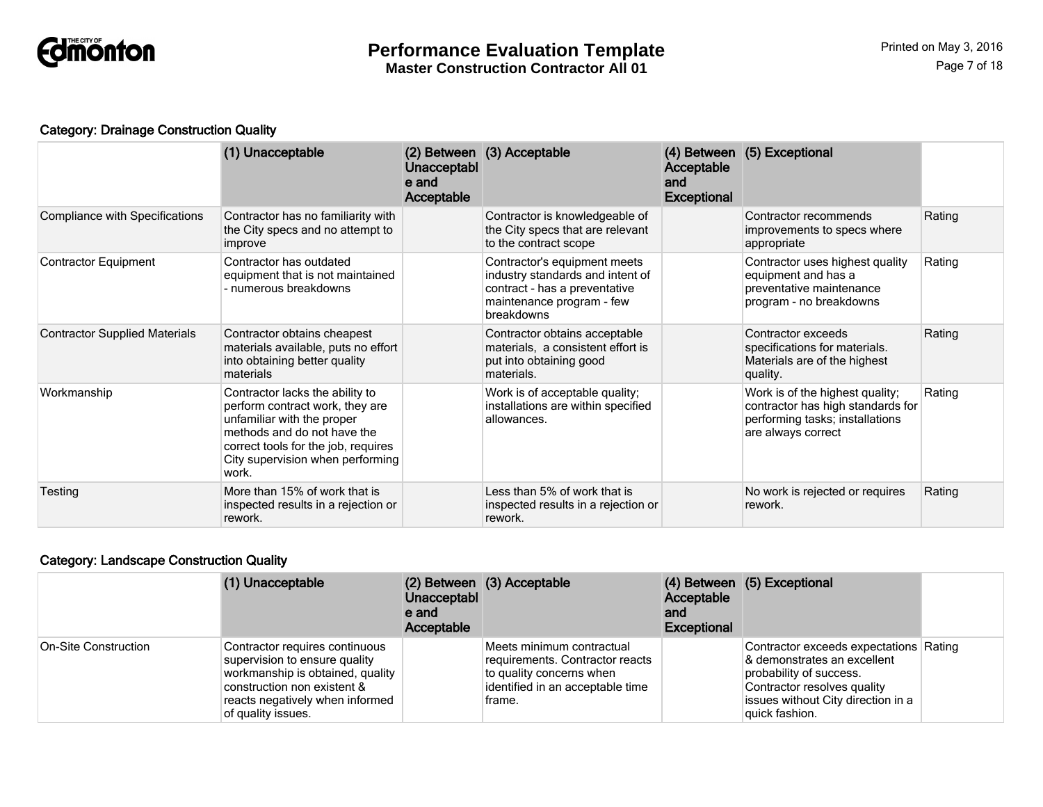

# Category: Drainage Construction Quality

|                                       | (1) Unacceptable                                                                                                                                                                                                    | Unacceptabl<br>e and<br>Acceptable | (2) Between (3) Acceptable                                                                                                                   | Acceptable<br>and<br><b>Exceptional</b> | (4) Between (5) Exceptional                                                                                                   |        |
|---------------------------------------|---------------------------------------------------------------------------------------------------------------------------------------------------------------------------------------------------------------------|------------------------------------|----------------------------------------------------------------------------------------------------------------------------------------------|-----------------------------------------|-------------------------------------------------------------------------------------------------------------------------------|--------|
| <b>Compliance with Specifications</b> | Contractor has no familiarity with<br>the City specs and no attempt to<br>improve                                                                                                                                   |                                    | Contractor is knowledgeable of<br>the City specs that are relevant<br>to the contract scope                                                  |                                         | Contractor recommends<br>improvements to specs where<br>appropriate                                                           | Rating |
| <b>Contractor Equipment</b>           | Contractor has outdated<br>equipment that is not maintained<br>- numerous breakdowns                                                                                                                                |                                    | Contractor's equipment meets<br>industry standards and intent of<br>contract - has a preventative<br>maintenance program - few<br>breakdowns |                                         | Contractor uses highest quality<br>equipment and has a<br>preventative maintenance<br>program - no breakdowns                 | Rating |
| <b>Contractor Supplied Materials</b>  | Contractor obtains cheapest<br>materials available, puts no effort<br>into obtaining better quality<br>materials                                                                                                    |                                    | Contractor obtains acceptable<br>materials, a consistent effort is<br>put into obtaining good<br>materials.                                  |                                         | Contractor exceeds<br>specifications for materials.<br>Materials are of the highest<br>quality.                               | Rating |
| Workmanship                           | Contractor lacks the ability to<br>perform contract work, they are<br>unfamiliar with the proper<br>methods and do not have the<br>correct tools for the job, requires<br>City supervision when performing<br>work. |                                    | Work is of acceptable quality;<br>installations are within specified<br>allowances.                                                          |                                         | Work is of the highest quality;<br>contractor has high standards for<br>performing tasks; installations<br>are always correct | Rating |
| Testing                               | More than 15% of work that is<br>inspected results in a rejection or<br>rework.                                                                                                                                     |                                    | Less than 5% of work that is<br>inspected results in a rejection or<br>rework.                                                               |                                         | No work is rejected or requires<br>rework.                                                                                    | Rating |

# Category: Landscape Construction Quality

|                      | (1) Unacceptable                                                                                                                                                                            | Unacceptabl<br>e and<br>Acceptable | (2) Between (3) Acceptable                                                                                                             | Acceptable<br>and<br><b>Exceptional</b> | (4) Between (5) Exceptional                                                                                                                                                             |  |
|----------------------|---------------------------------------------------------------------------------------------------------------------------------------------------------------------------------------------|------------------------------------|----------------------------------------------------------------------------------------------------------------------------------------|-----------------------------------------|-----------------------------------------------------------------------------------------------------------------------------------------------------------------------------------------|--|
| On-Site Construction | Contractor requires continuous<br>supervision to ensure quality<br>workmanship is obtained, quality<br>construction non existent &<br>reacts negatively when informed<br>of quality issues. |                                    | Meets minimum contractual<br>requirements. Contractor reacts<br>to quality concerns when<br>identified in an acceptable time<br>frame. |                                         | Contractor exceeds expectations Rating<br>& demonstrates an excellent<br>probability of success.<br>Contractor resolves quality<br>issues without City direction in a<br>quick fashion. |  |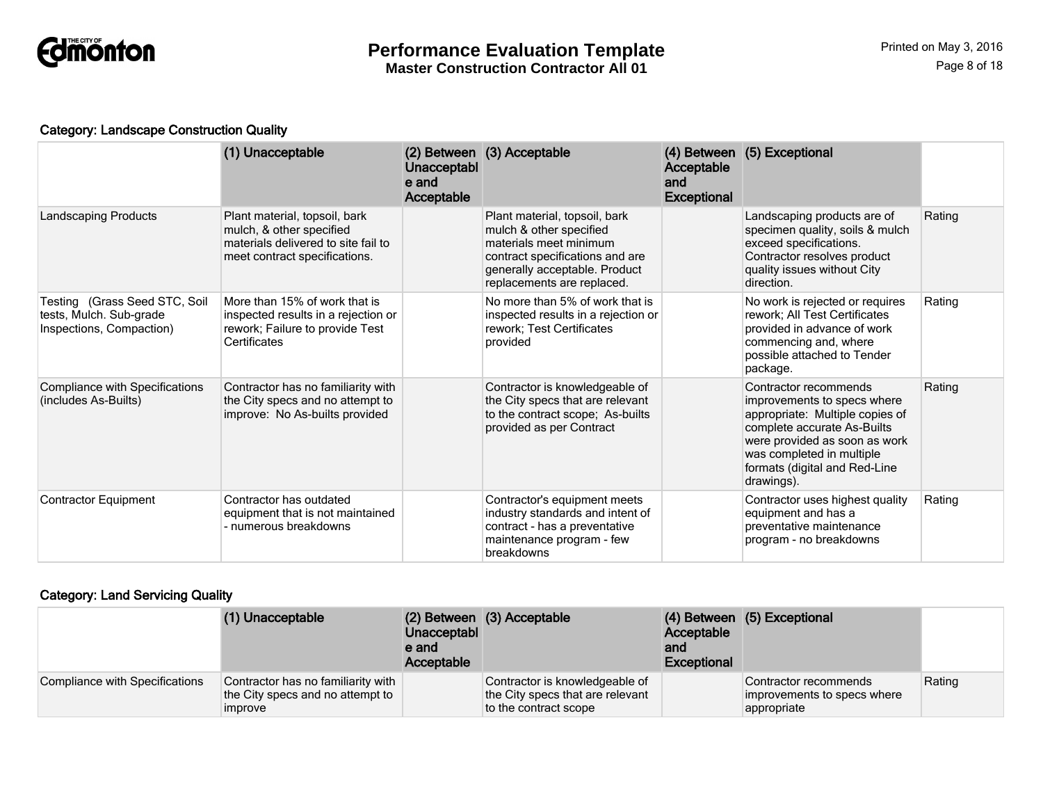

#### Category: Landscape Construction Quality

|                                                                                      | (1) Unacceptable                                                                                                                  | Unacceptabl<br>e and<br><b>Acceptable</b> | (2) Between (3) Acceptable                                                                                                                                                           | Acceptable<br>and<br><b>Exceptional</b> | (4) Between (5) Exceptional                                                                                                                                                                                                         |        |
|--------------------------------------------------------------------------------------|-----------------------------------------------------------------------------------------------------------------------------------|-------------------------------------------|--------------------------------------------------------------------------------------------------------------------------------------------------------------------------------------|-----------------------------------------|-------------------------------------------------------------------------------------------------------------------------------------------------------------------------------------------------------------------------------------|--------|
| <b>Landscaping Products</b>                                                          | Plant material, topsoil, bark<br>mulch, & other specified<br>materials delivered to site fail to<br>meet contract specifications. |                                           | Plant material, topsoil, bark<br>mulch & other specified<br>materials meet minimum<br>contract specifications and are<br>generally acceptable. Product<br>replacements are replaced. |                                         | Landscaping products are of<br>specimen quality, soils & mulch<br>exceed specifications.<br>Contractor resolves product<br>quality issues without City<br>direction.                                                                | Rating |
| Testing (Grass Seed STC, Soil<br>tests, Mulch. Sub-grade<br>Inspections, Compaction) | More than 15% of work that is<br>inspected results in a rejection or<br>rework; Failure to provide Test<br>Certificates           |                                           | No more than 5% of work that is<br>inspected results in a rejection or<br>rework; Test Certificates<br>provided                                                                      |                                         | No work is rejected or requires<br>rework; All Test Certificates<br>provided in advance of work<br>commencing and, where<br>possible attached to Tender<br>package.                                                                 | Rating |
| <b>Compliance with Specifications</b><br>(includes As-Builts)                        | Contractor has no familiarity with<br>the City specs and no attempt to<br>improve: No As-builts provided                          |                                           | Contractor is knowledgeable of<br>the City specs that are relevant<br>to the contract scope; As-builts<br>provided as per Contract                                                   |                                         | Contractor recommends<br>improvements to specs where<br>appropriate: Multiple copies of<br>complete accurate As-Builts<br>were provided as soon as work<br>was completed in multiple<br>formats (digital and Red-Line<br>drawings). | Rating |
| <b>Contractor Equipment</b>                                                          | Contractor has outdated<br>equipment that is not maintained<br>- numerous breakdowns                                              |                                           | Contractor's equipment meets<br>industry standards and intent of<br>contract - has a preventative<br>maintenance program - few<br>breakdowns                                         |                                         | Contractor uses highest quality<br>equipment and has a<br>preventative maintenance<br>program - no breakdowns                                                                                                                       | Rating |

#### Category: Land Servicing Quality

|                                | (1) Unacceptable                                                                         | Unacceptabl<br>e and<br>Acceptable | (2) Between (3) Acceptable                                                                  | Acceptable<br>and<br><b>Exceptional</b> | (4) Between (5) Exceptional                                         |        |
|--------------------------------|------------------------------------------------------------------------------------------|------------------------------------|---------------------------------------------------------------------------------------------|-----------------------------------------|---------------------------------------------------------------------|--------|
| Compliance with Specifications | Contractor has no familiarity with<br>the City specs and no attempt to<br><i>improve</i> |                                    | Contractor is knowledgeable of<br>the City specs that are relevant<br>to the contract scope |                                         | Contractor recommends<br>improvements to specs where<br>appropriate | Rating |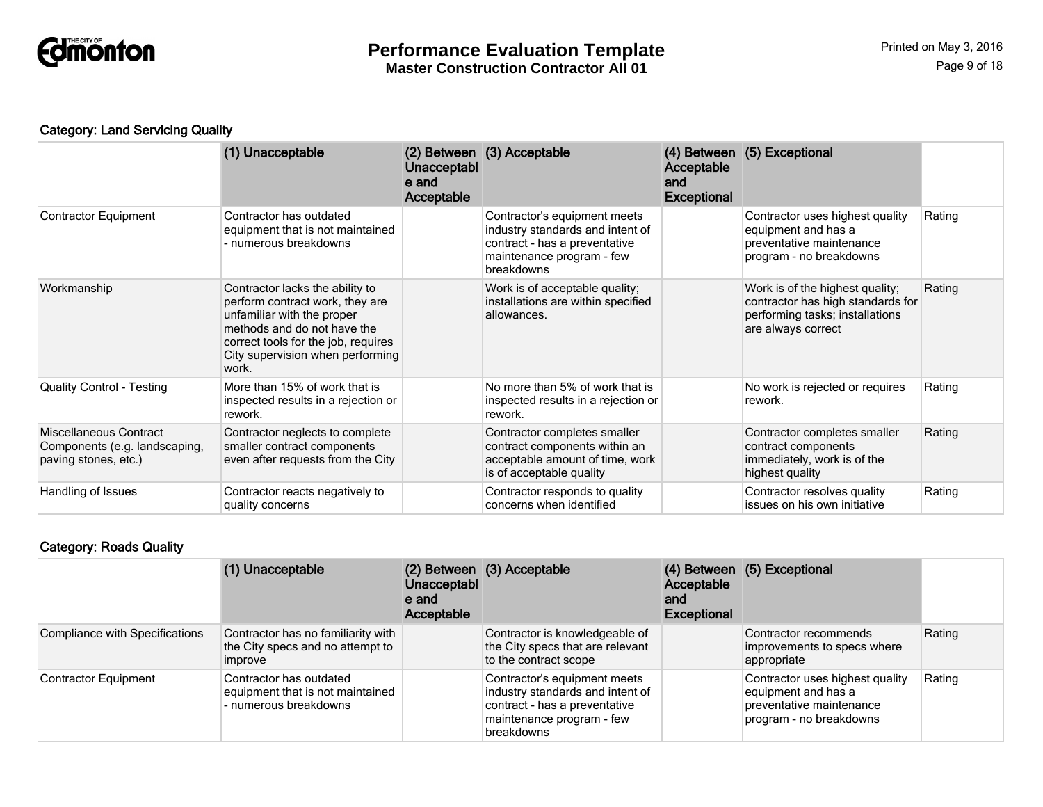

# Category: Land Servicing Quality

|                                                                                 | (1) Unacceptable                                                                                                                                                                                                    | Unacceptabl<br>e and<br>Acceptable | (2) Between (3) Acceptable                                                                                                                   | Acceptable<br>and<br><b>Exceptional</b> | (4) Between (5) Exceptional                                                                                                   |        |
|---------------------------------------------------------------------------------|---------------------------------------------------------------------------------------------------------------------------------------------------------------------------------------------------------------------|------------------------------------|----------------------------------------------------------------------------------------------------------------------------------------------|-----------------------------------------|-------------------------------------------------------------------------------------------------------------------------------|--------|
| <b>Contractor Equipment</b>                                                     | Contractor has outdated<br>equipment that is not maintained<br>- numerous breakdowns                                                                                                                                |                                    | Contractor's equipment meets<br>industry standards and intent of<br>contract - has a preventative<br>maintenance program - few<br>breakdowns |                                         | Contractor uses highest quality<br>equipment and has a<br>preventative maintenance<br>program - no breakdowns                 | Rating |
| Workmanship                                                                     | Contractor lacks the ability to<br>perform contract work, they are<br>unfamiliar with the proper<br>methods and do not have the<br>correct tools for the job, requires<br>City supervision when performing<br>work. |                                    | Work is of acceptable quality;<br>installations are within specified<br>allowances.                                                          |                                         | Work is of the highest quality;<br>contractor has high standards for<br>performing tasks; installations<br>are always correct | Rating |
| <b>Quality Control - Testing</b>                                                | More than 15% of work that is<br>inspected results in a rejection or<br>rework.                                                                                                                                     |                                    | No more than 5% of work that is<br>inspected results in a rejection or<br>rework.                                                            |                                         | No work is rejected or requires<br>rework.                                                                                    | Rating |
| Miscellaneous Contract<br>Components (e.g. landscaping,<br>paving stones, etc.) | Contractor neglects to complete<br>smaller contract components<br>even after requests from the City                                                                                                                 |                                    | Contractor completes smaller<br>contract components within an<br>acceptable amount of time, work<br>is of acceptable quality                 |                                         | Contractor completes smaller<br>contract components<br>immediately, work is of the<br>highest quality                         | Rating |
| Handling of Issues                                                              | Contractor reacts negatively to<br>quality concerns                                                                                                                                                                 |                                    | Contractor responds to quality<br>concerns when identified                                                                                   |                                         | Contractor resolves quality<br>issues on his own initiative                                                                   | Rating |

# Category: Roads Quality

|                                | (1) Unacceptable                                                                                | Unacceptabl<br>e and<br>Acceptable | (2) Between (3) Acceptable                                                                                                                   | Acceptable<br>and<br><b>Exceptional</b> | (4) Between (5) Exceptional                                                                                   |        |
|--------------------------------|-------------------------------------------------------------------------------------------------|------------------------------------|----------------------------------------------------------------------------------------------------------------------------------------------|-----------------------------------------|---------------------------------------------------------------------------------------------------------------|--------|
| Compliance with Specifications | Contractor has no familiarity with<br>the City specs and no attempt to<br><i><b>Improve</b></i> |                                    | Contractor is knowledgeable of<br>the City specs that are relevant<br>to the contract scope                                                  |                                         | Contractor recommends<br>improvements to specs where<br>appropriate                                           | Rating |
| <b>Contractor Equipment</b>    | Contractor has outdated<br>equipment that is not maintained<br>- numerous breakdowns            |                                    | Contractor's equipment meets<br>industry standards and intent of<br>contract - has a preventative<br>maintenance program - few<br>breakdowns |                                         | Contractor uses highest quality<br>equipment and has a<br>preventative maintenance<br>program - no breakdowns | Rating |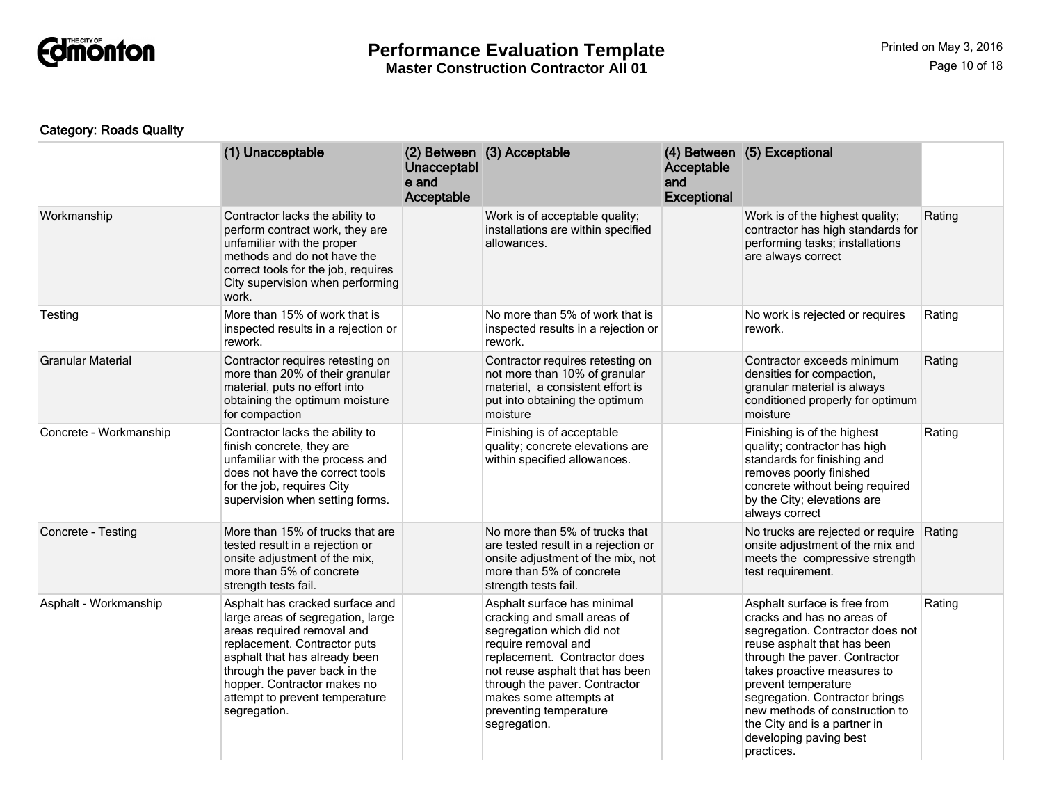

# Category: Roads Quality

|                          | (1) Unacceptable                                                                                                                                                                                                                                                                      | Unacceptabl<br>e and<br>Acceptable | (2) Between (3) Acceptable                                                                                                                                                                                                                                                             | Acceptable<br>and<br><b>Exceptional</b> | (4) Between (5) Exceptional                                                                                                                                                                                                                                                                                                                                      |        |
|--------------------------|---------------------------------------------------------------------------------------------------------------------------------------------------------------------------------------------------------------------------------------------------------------------------------------|------------------------------------|----------------------------------------------------------------------------------------------------------------------------------------------------------------------------------------------------------------------------------------------------------------------------------------|-----------------------------------------|------------------------------------------------------------------------------------------------------------------------------------------------------------------------------------------------------------------------------------------------------------------------------------------------------------------------------------------------------------------|--------|
| Workmanship              | Contractor lacks the ability to<br>perform contract work, they are<br>unfamiliar with the proper<br>methods and do not have the<br>correct tools for the job, requires<br>City supervision when performing<br>work.                                                                   |                                    | Work is of acceptable quality;<br>installations are within specified<br>allowances.                                                                                                                                                                                                    |                                         | Work is of the highest quality;<br>contractor has high standards for<br>performing tasks; installations<br>are always correct                                                                                                                                                                                                                                    | Rating |
| Testing                  | More than 15% of work that is<br>inspected results in a rejection or<br>rework.                                                                                                                                                                                                       |                                    | No more than 5% of work that is<br>inspected results in a rejection or<br>rework.                                                                                                                                                                                                      |                                         | No work is rejected or requires<br>rework.                                                                                                                                                                                                                                                                                                                       | Rating |
| <b>Granular Material</b> | Contractor requires retesting on<br>more than 20% of their granular<br>material, puts no effort into<br>obtaining the optimum moisture<br>for compaction                                                                                                                              |                                    | Contractor requires retesting on<br>not more than 10% of granular<br>material, a consistent effort is<br>put into obtaining the optimum<br>moisture                                                                                                                                    |                                         | Contractor exceeds minimum<br>densities for compaction,<br>granular material is always<br>conditioned properly for optimum<br>moisture                                                                                                                                                                                                                           | Rating |
| Concrete - Workmanship   | Contractor lacks the ability to<br>finish concrete, they are<br>unfamiliar with the process and<br>does not have the correct tools<br>for the job, requires City<br>supervision when setting forms.                                                                                   |                                    | Finishing is of acceptable<br>quality; concrete elevations are<br>within specified allowances.                                                                                                                                                                                         |                                         | Finishing is of the highest<br>quality; contractor has high<br>standards for finishing and<br>removes poorly finished<br>concrete without being required<br>by the City; elevations are<br>always correct                                                                                                                                                        | Rating |
| Concrete - Testing       | More than 15% of trucks that are<br>tested result in a rejection or<br>onsite adjustment of the mix,<br>more than 5% of concrete<br>strength tests fail.                                                                                                                              |                                    | No more than 5% of trucks that<br>are tested result in a rejection or<br>onsite adjustment of the mix, not<br>more than 5% of concrete<br>strength tests fail.                                                                                                                         |                                         | No trucks are rejected or require<br>onsite adjustment of the mix and<br>meets the compressive strength<br>test requirement.                                                                                                                                                                                                                                     | Rating |
| Asphalt - Workmanship    | Asphalt has cracked surface and<br>large areas of segregation, large<br>areas required removal and<br>replacement. Contractor puts<br>asphalt that has already been<br>through the paver back in the<br>hopper. Contractor makes no<br>attempt to prevent temperature<br>segregation. |                                    | Asphalt surface has minimal<br>cracking and small areas of<br>segregation which did not<br>require removal and<br>replacement. Contractor does<br>not reuse asphalt that has been<br>through the paver. Contractor<br>makes some attempts at<br>preventing temperature<br>segregation. |                                         | Asphalt surface is free from<br>cracks and has no areas of<br>segregation. Contractor does not<br>reuse asphalt that has been<br>through the paver. Contractor<br>takes proactive measures to<br>prevent temperature<br>segregation. Contractor brings<br>new methods of construction to<br>the City and is a partner in<br>developing paving best<br>practices. | Rating |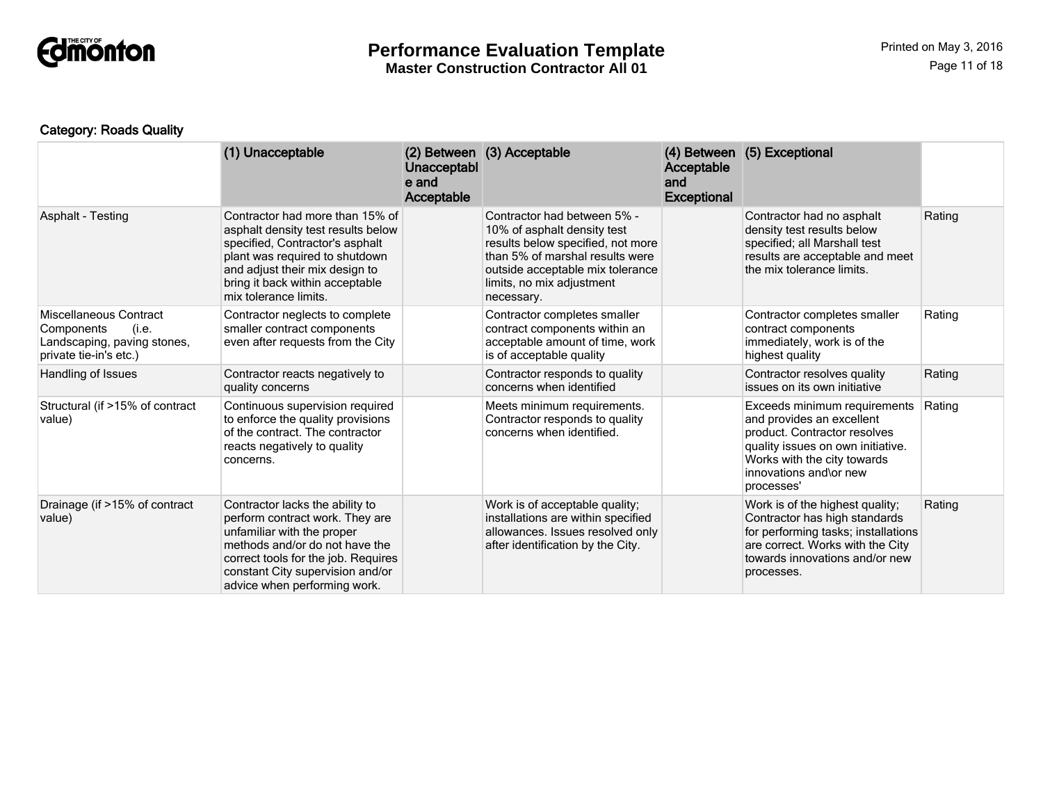

# Category: Roads Quality

|                                                                                                        | (1) Unacceptable                                                                                                                                                                                                                              | Unacceptabl<br>e and<br>Acceptable | (2) Between (3) Acceptable                                                                                                                                                                                        | Acceptable<br>and<br><b>Exceptional</b> | (4) Between (5) Exceptional                                                                                                                                                                           |        |
|--------------------------------------------------------------------------------------------------------|-----------------------------------------------------------------------------------------------------------------------------------------------------------------------------------------------------------------------------------------------|------------------------------------|-------------------------------------------------------------------------------------------------------------------------------------------------------------------------------------------------------------------|-----------------------------------------|-------------------------------------------------------------------------------------------------------------------------------------------------------------------------------------------------------|--------|
| Asphalt - Testing                                                                                      | Contractor had more than 15% of<br>asphalt density test results below<br>specified, Contractor's asphalt<br>plant was required to shutdown<br>and adjust their mix design to<br>bring it back within acceptable<br>mix tolerance limits.      |                                    | Contractor had between 5% -<br>10% of asphalt density test<br>results below specified, not more<br>than 5% of marshal results were<br>outside acceptable mix tolerance<br>limits, no mix adjustment<br>necessary. |                                         | Contractor had no asphalt<br>density test results below<br>specified; all Marshall test<br>results are acceptable and meet<br>the mix tolerance limits.                                               | Rating |
| Miscellaneous Contract<br>Components<br>(i.e.<br>Landscaping, paving stones,<br>private tie-in's etc.) | Contractor neglects to complete<br>smaller contract components<br>even after requests from the City                                                                                                                                           |                                    | Contractor completes smaller<br>contract components within an<br>acceptable amount of time, work<br>is of acceptable quality                                                                                      |                                         | Contractor completes smaller<br>contract components<br>immediately, work is of the<br>highest quality                                                                                                 | Rating |
| Handling of Issues                                                                                     | Contractor reacts negatively to<br>quality concerns                                                                                                                                                                                           |                                    | Contractor responds to quality<br>concerns when identified                                                                                                                                                        |                                         | Contractor resolves quality<br>issues on its own initiative                                                                                                                                           | Rating |
| Structural (if >15% of contract<br>value)                                                              | Continuous supervision required<br>to enforce the quality provisions<br>of the contract. The contractor<br>reacts negatively to quality<br>concerns.                                                                                          |                                    | Meets minimum requirements.<br>Contractor responds to quality<br>concerns when identified.                                                                                                                        |                                         | Exceeds minimum requirements<br>and provides an excellent<br>product. Contractor resolves<br>quality issues on own initiative.<br>Works with the city towards<br>innovations and\or new<br>processes' | Rating |
| Drainage (if >15% of contract<br>value)                                                                | Contractor lacks the ability to<br>perform contract work. They are<br>unfamiliar with the proper<br>methods and/or do not have the<br>correct tools for the job. Requires<br>constant City supervision and/or<br>advice when performing work. |                                    | Work is of acceptable quality;<br>installations are within specified<br>allowances. Issues resolved only<br>after identification by the City.                                                                     |                                         | Work is of the highest quality;<br>Contractor has high standards<br>for performing tasks; installations<br>are correct. Works with the City<br>towards innovations and/or new<br>processes.           | Rating |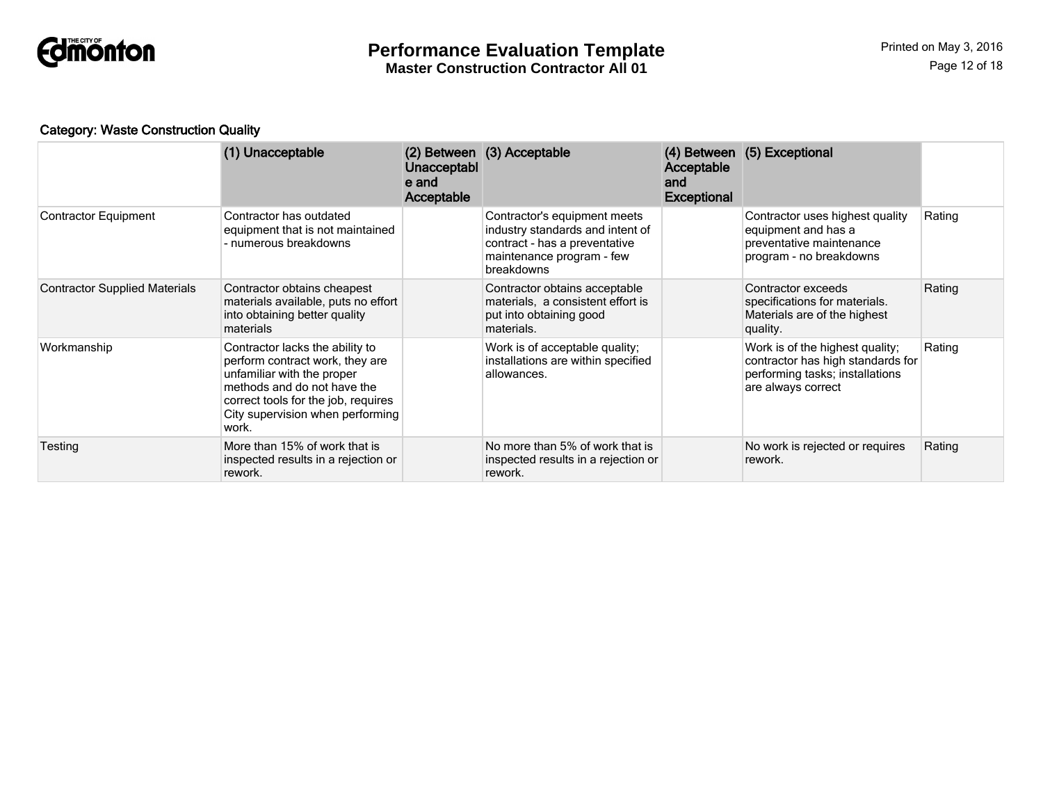

# Category: Waste Construction Quality

|                                      | (1) Unacceptable                                                                                                                                                                                                    | <b>Unacceptabl</b><br>e and<br>Acceptable | (2) Between (3) Acceptable                                                                                                                   | Acceptable<br>and<br><b>Exceptional</b> | (4) Between (5) Exceptional                                                                                                   |        |
|--------------------------------------|---------------------------------------------------------------------------------------------------------------------------------------------------------------------------------------------------------------------|-------------------------------------------|----------------------------------------------------------------------------------------------------------------------------------------------|-----------------------------------------|-------------------------------------------------------------------------------------------------------------------------------|--------|
| <b>Contractor Equipment</b>          | Contractor has outdated<br>equipment that is not maintained<br>- numerous breakdowns                                                                                                                                |                                           | Contractor's equipment meets<br>industry standards and intent of<br>contract - has a preventative<br>maintenance program - few<br>breakdowns |                                         | Contractor uses highest quality<br>equipment and has a<br>preventative maintenance<br>program - no breakdowns                 | Rating |
| <b>Contractor Supplied Materials</b> | Contractor obtains cheapest<br>materials available, puts no effort<br>into obtaining better quality<br>materials                                                                                                    |                                           | Contractor obtains acceptable<br>materials, a consistent effort is<br>put into obtaining good<br>materials.                                  |                                         | Contractor exceeds<br>specifications for materials.<br>Materials are of the highest<br>quality.                               | Rating |
| Workmanship                          | Contractor lacks the ability to<br>perform contract work, they are<br>unfamiliar with the proper<br>methods and do not have the<br>correct tools for the job, requires<br>City supervision when performing<br>work. |                                           | Work is of acceptable quality;<br>installations are within specified<br>allowances.                                                          |                                         | Work is of the highest quality;<br>contractor has high standards for<br>performing tasks; installations<br>are always correct | Rating |
| Testing                              | More than 15% of work that is<br>inspected results in a rejection or<br>rework.                                                                                                                                     |                                           | No more than 5% of work that is<br>inspected results in a rejection or<br>rework.                                                            |                                         | No work is rejected or requires<br>rework.                                                                                    | Rating |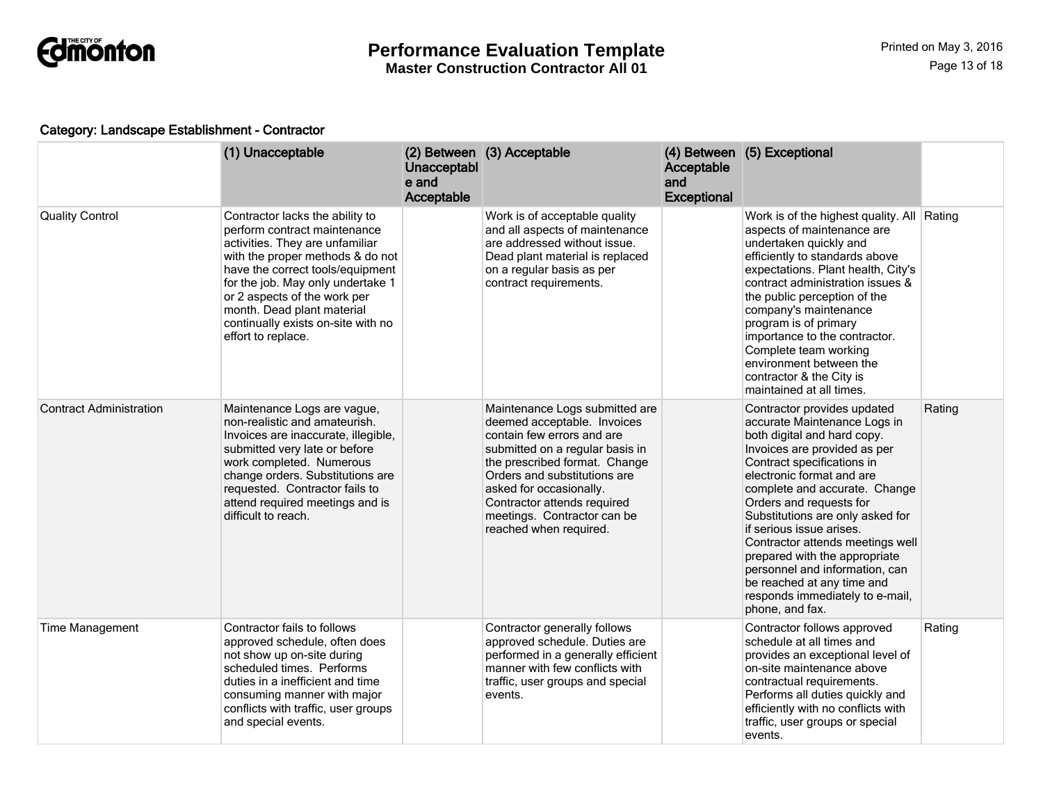

#### Category: Landscape Establishment - Contractor

|                                | (1) Unacceptable                                                                                                                                                                                                                                                                                                                          | Unacceptabl<br>e and<br>Acceptable | (2) Between (3) Acceptable                                                                                                                                                                                                                                                                                         | Acceptable<br>and<br><b>Exceptional</b> | (4) Between (5) Exceptional                                                                                                                                                                                                                                                                                                                                                                                                                                                                                  |        |
|--------------------------------|-------------------------------------------------------------------------------------------------------------------------------------------------------------------------------------------------------------------------------------------------------------------------------------------------------------------------------------------|------------------------------------|--------------------------------------------------------------------------------------------------------------------------------------------------------------------------------------------------------------------------------------------------------------------------------------------------------------------|-----------------------------------------|--------------------------------------------------------------------------------------------------------------------------------------------------------------------------------------------------------------------------------------------------------------------------------------------------------------------------------------------------------------------------------------------------------------------------------------------------------------------------------------------------------------|--------|
| <b>Quality Control</b>         | Contractor lacks the ability to<br>perform contract maintenance<br>activities. They are unfamiliar<br>with the proper methods & do not<br>have the correct tools/equipment<br>for the job. May only undertake 1<br>or 2 aspects of the work per<br>month. Dead plant material<br>continually exists on-site with no<br>effort to replace. |                                    | Work is of acceptable quality<br>and all aspects of maintenance<br>are addressed without issue.<br>Dead plant material is replaced<br>on a regular basis as per<br>contract requirements.                                                                                                                          |                                         | Work is of the highest quality. All Rating<br>aspects of maintenance are<br>undertaken quickly and<br>efficiently to standards above<br>expectations. Plant health, City's<br>contract administration issues &<br>the public perception of the<br>company's maintenance<br>program is of primary<br>importance to the contractor.<br>Complete team working<br>environment between the<br>contractor & the City is<br>maintained at all times.                                                                |        |
| <b>Contract Administration</b> | Maintenance Logs are vague,<br>non-realistic and amateurish.<br>Invoices are inaccurate, illegible,<br>submitted very late or before<br>work completed. Numerous<br>change orders. Substitutions are<br>requested. Contractor fails to<br>attend required meetings and is<br>difficult to reach.                                          |                                    | Maintenance Logs submitted are<br>deemed acceptable. Invoices<br>contain few errors and are<br>submitted on a regular basis in<br>the prescribed format. Change<br>Orders and substitutions are<br>asked for occasionally.<br>Contractor attends required<br>meetings. Contractor can be<br>reached when required. |                                         | Contractor provides updated<br>accurate Maintenance Logs in<br>both digital and hard copy.<br>Invoices are provided as per<br>Contract specifications in<br>electronic format and are<br>complete and accurate. Change<br>Orders and requests for<br>Substitutions are only asked for<br>if serious issue arises.<br>Contractor attends meetings well<br>prepared with the appropriate<br>personnel and information, can<br>be reached at any time and<br>responds immediately to e-mail,<br>phone, and fax. | Rating |
| <b>Time Management</b>         | Contractor fails to follows<br>approved schedule, often does<br>not show up on-site during<br>scheduled times. Performs<br>duties in a inefficient and time<br>consuming manner with major<br>conflicts with traffic, user groups<br>and special events.                                                                                  |                                    | Contractor generally follows<br>approved schedule. Duties are<br>performed in a generally efficient<br>manner with few conflicts with<br>traffic, user groups and special<br>events.                                                                                                                               |                                         | Contractor follows approved<br>schedule at all times and<br>provides an exceptional level of<br>on-site maintenance above<br>contractual requirements.<br>Performs all duties quickly and<br>efficiently with no conflicts with<br>traffic, user groups or special<br>events.                                                                                                                                                                                                                                | Rating |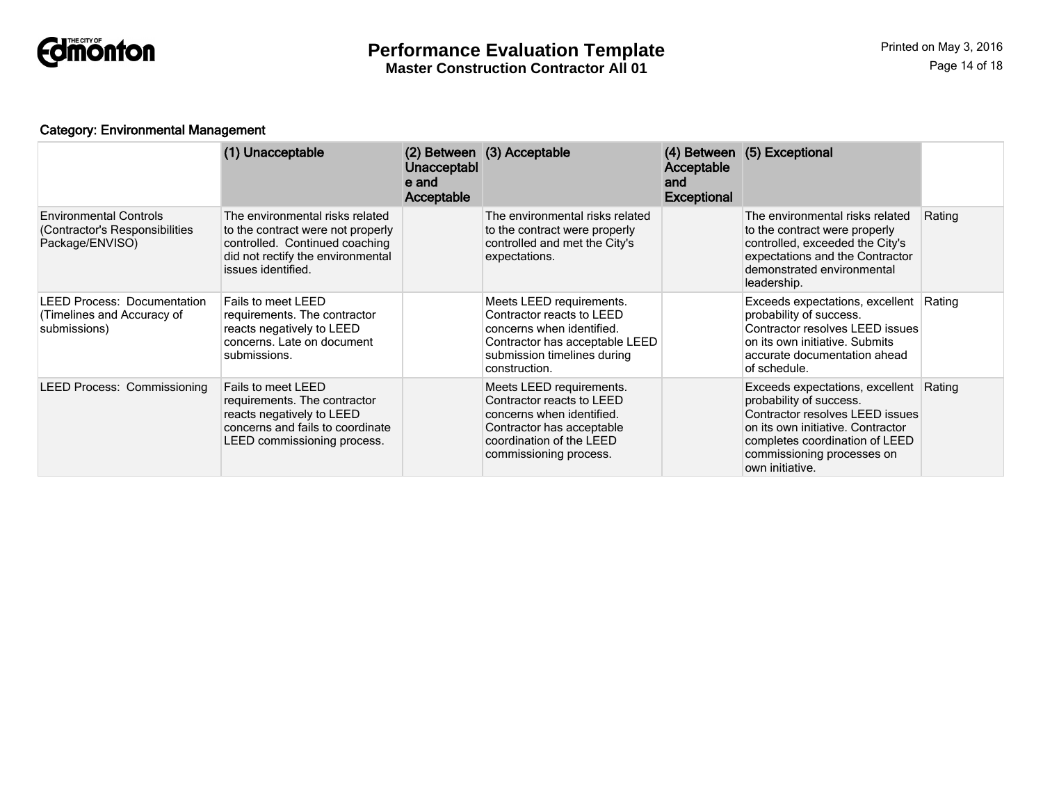

# Category: Environmental Management

|                                                                                    | (1) Unacceptable                                                                                                                                                  | Unacceptabl<br>e and<br>Acceptable | (2) Between (3) Acceptable                                                                                                                                            | Acceptable<br>and<br><b>Exceptional</b> | (4) Between (5) Exceptional                                                                                                                                                                                                  |        |
|------------------------------------------------------------------------------------|-------------------------------------------------------------------------------------------------------------------------------------------------------------------|------------------------------------|-----------------------------------------------------------------------------------------------------------------------------------------------------------------------|-----------------------------------------|------------------------------------------------------------------------------------------------------------------------------------------------------------------------------------------------------------------------------|--------|
| <b>Environmental Controls</b><br>(Contractor's Responsibilities<br>Package/ENVISO) | The environmental risks related<br>to the contract were not properly<br>controlled. Continued coaching<br>did not rectify the environmental<br>issues identified. |                                    | The environmental risks related<br>to the contract were properly<br>controlled and met the City's<br>expectations.                                                    |                                         | The environmental risks related<br>to the contract were properly<br>controlled, exceeded the City's<br>expectations and the Contractor<br>demonstrated environmental<br>leadership.                                          | Rating |
| <b>LEED Process: Documentation</b><br>(Timelines and Accuracy of<br>submissions)   | Fails to meet LEED<br>requirements. The contractor<br>reacts negatively to LEED<br>concerns. Late on document<br>submissions.                                     |                                    | Meets LEED requirements.<br>Contractor reacts to LEED<br>concerns when identified.<br>Contractor has acceptable LEED<br>submission timelines during<br>construction.  |                                         | Exceeds expectations, excellent Rating<br>probability of success.<br>Contractor resolves LEED issues<br>on its own initiative. Submits<br>accurate documentation ahead<br>of schedule.                                       |        |
| <b>LEED Process: Commissioning</b>                                                 | Fails to meet LEED<br>requirements. The contractor<br>reacts negatively to LEED<br>concerns and fails to coordinate<br>LEED commissioning process.                |                                    | Meets LEED requirements.<br>Contractor reacts to LEED<br>concerns when identified.<br>Contractor has acceptable<br>coordination of the LEED<br>commissioning process. |                                         | Exceeds expectations, excellent Rating<br>probability of success.<br>Contractor resolves LEED issues<br>on its own initiative. Contractor<br>completes coordination of LEED<br>commissioning processes on<br>own initiative. |        |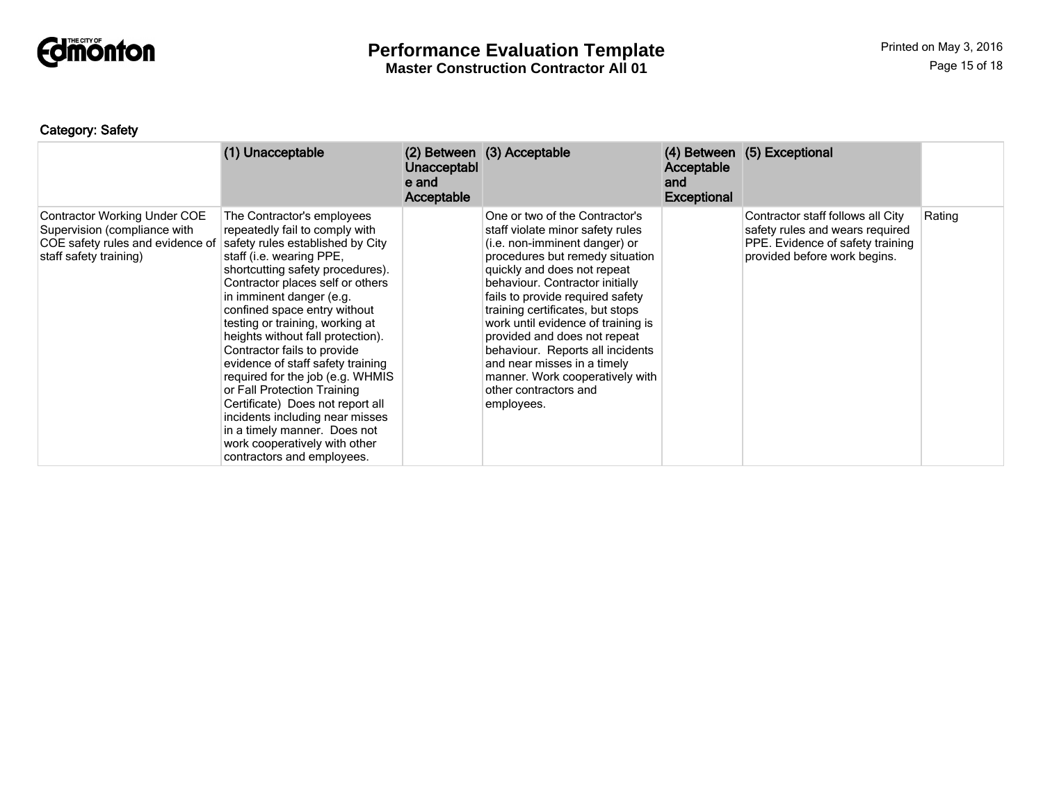

# Category: Safety

|                                                                                                                                   | (1) Unacceptable                                                                                                                                                                                                                                                                                                                                                                                                                                                                                                                                                                                                                                      | <b>Unacceptabl</b><br>e and<br>Acceptable | (2) Between (3) Acceptable                                                                                                                                                                                                                                                                                                                                                                                                                                                                          | Acceptable<br>and<br><b>Exceptional</b> | (4) Between (5) Exceptional                                                                                                              |        |
|-----------------------------------------------------------------------------------------------------------------------------------|-------------------------------------------------------------------------------------------------------------------------------------------------------------------------------------------------------------------------------------------------------------------------------------------------------------------------------------------------------------------------------------------------------------------------------------------------------------------------------------------------------------------------------------------------------------------------------------------------------------------------------------------------------|-------------------------------------------|-----------------------------------------------------------------------------------------------------------------------------------------------------------------------------------------------------------------------------------------------------------------------------------------------------------------------------------------------------------------------------------------------------------------------------------------------------------------------------------------------------|-----------------------------------------|------------------------------------------------------------------------------------------------------------------------------------------|--------|
| <b>Contractor Working Under COE</b><br>Supervision (compliance with<br>COE safety rules and evidence of<br>staff safety training) | The Contractor's employees<br>repeatedly fail to comply with<br>safety rules established by City<br>staff (i.e. wearing PPE,<br>shortcutting safety procedures).<br>Contractor places self or others<br>in imminent danger (e.g.<br>confined space entry without<br>testing or training, working at<br>heights without fall protection).<br>Contractor fails to provide<br>evidence of staff safety training<br>required for the job (e.g. WHMIS<br>or Fall Protection Training<br>Certificate) Does not report all<br>incidents including near misses<br>in a timely manner. Does not<br>work cooperatively with other<br>contractors and employees. |                                           | One or two of the Contractor's<br>staff violate minor safety rules<br>(i.e. non-imminent danger) or<br>procedures but remedy situation<br>quickly and does not repeat<br>behaviour. Contractor initially<br>fails to provide required safety<br>training certificates, but stops<br>work until evidence of training is<br>provided and does not repeat<br>behaviour. Reports all incidents<br>and near misses in a timely<br>manner. Work cooperatively with<br>other contractors and<br>employees. |                                         | Contractor staff follows all City<br>safety rules and wears required<br>PPE. Evidence of safety training<br>provided before work begins. | Rating |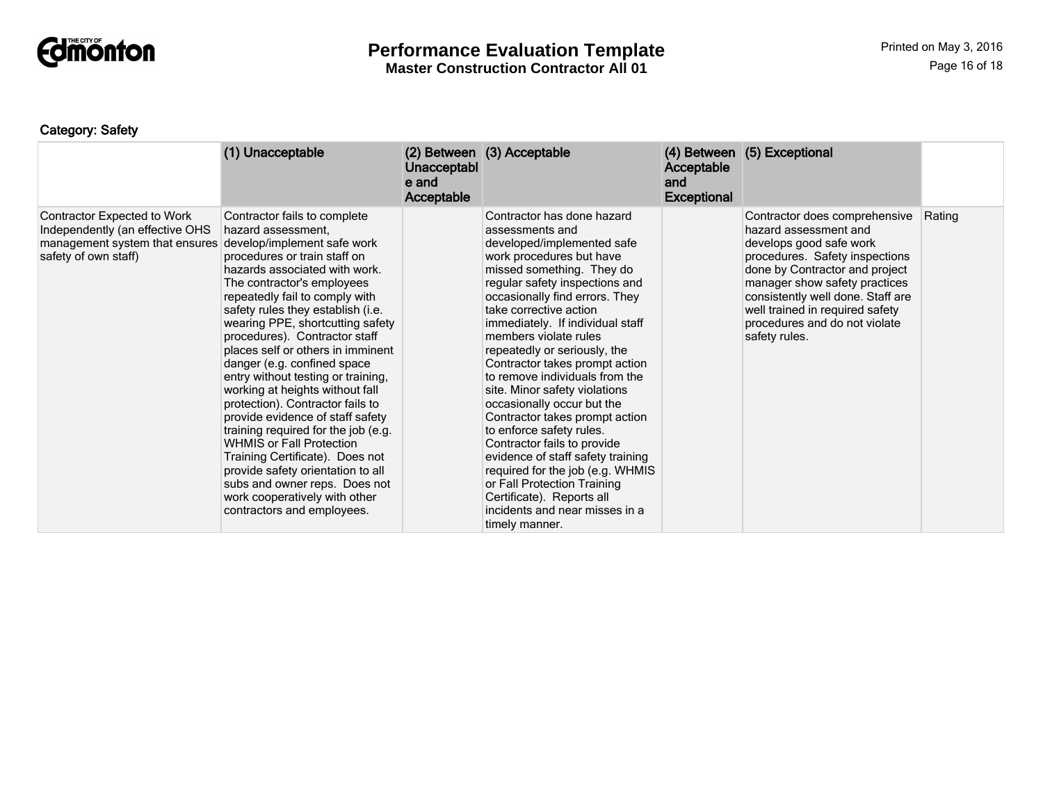

# **Performance Evaluation Template**

**Master Construction Contractor All 01**

# Category: Safety

|                                                                                                                                 | (1) Unacceptable                                                                                                                                                                                                                                                                                                                                                                                                                                                                                                                                                                                                                                                                                                                                                                                    | Unacceptabl<br>e and<br>Acceptable | (2) Between (3) Acceptable                                                                                                                                                                                                                                                                                                                                                                                                                                                                                                                                                                                                                                                                                                                               | Acceptable<br>and<br><b>Exceptional</b> | (4) Between (5) Exceptional                                                                                                                                                                                                                                                                                      |        |
|---------------------------------------------------------------------------------------------------------------------------------|-----------------------------------------------------------------------------------------------------------------------------------------------------------------------------------------------------------------------------------------------------------------------------------------------------------------------------------------------------------------------------------------------------------------------------------------------------------------------------------------------------------------------------------------------------------------------------------------------------------------------------------------------------------------------------------------------------------------------------------------------------------------------------------------------------|------------------------------------|----------------------------------------------------------------------------------------------------------------------------------------------------------------------------------------------------------------------------------------------------------------------------------------------------------------------------------------------------------------------------------------------------------------------------------------------------------------------------------------------------------------------------------------------------------------------------------------------------------------------------------------------------------------------------------------------------------------------------------------------------------|-----------------------------------------|------------------------------------------------------------------------------------------------------------------------------------------------------------------------------------------------------------------------------------------------------------------------------------------------------------------|--------|
| <b>Contractor Expected to Work</b><br>Independently (an effective OHS<br>management system that ensures<br>safety of own staff) | Contractor fails to complete<br>hazard assessment.<br>develop/implement safe work<br>procedures or train staff on<br>hazards associated with work.<br>The contractor's employees<br>repeatedly fail to comply with<br>safety rules they establish (i.e.<br>wearing PPE, shortcutting safety<br>procedures). Contractor staff<br>places self or others in imminent<br>danger (e.g. confined space<br>entry without testing or training,<br>working at heights without fall<br>protection). Contractor fails to<br>provide evidence of staff safety<br>training required for the job (e.g.<br><b>WHMIS or Fall Protection</b><br>Training Certificate). Does not<br>provide safety orientation to all<br>subs and owner reps. Does not<br>work cooperatively with other<br>contractors and employees. |                                    | Contractor has done hazard<br>assessments and<br>developed/implemented safe<br>work procedures but have<br>missed something. They do<br>regular safety inspections and<br>occasionally find errors. They<br>take corrective action<br>immediately. If individual staff<br>members violate rules<br>repeatedly or seriously, the<br>Contractor takes prompt action<br>to remove individuals from the<br>site. Minor safety violations<br>occasionally occur but the<br>Contractor takes prompt action<br>to enforce safety rules.<br>Contractor fails to provide<br>evidence of staff safety training<br>required for the job (e.g. WHMIS<br>or Fall Protection Training<br>Certificate). Reports all<br>incidents and near misses in a<br>timely manner. |                                         | Contractor does comprehensive<br>hazard assessment and<br>develops good safe work<br>procedures. Safety inspections<br>done by Contractor and project<br>manager show safety practices<br>consistently well done. Staff are<br>well trained in required safety<br>procedures and do not violate<br>safety rules. | Rating |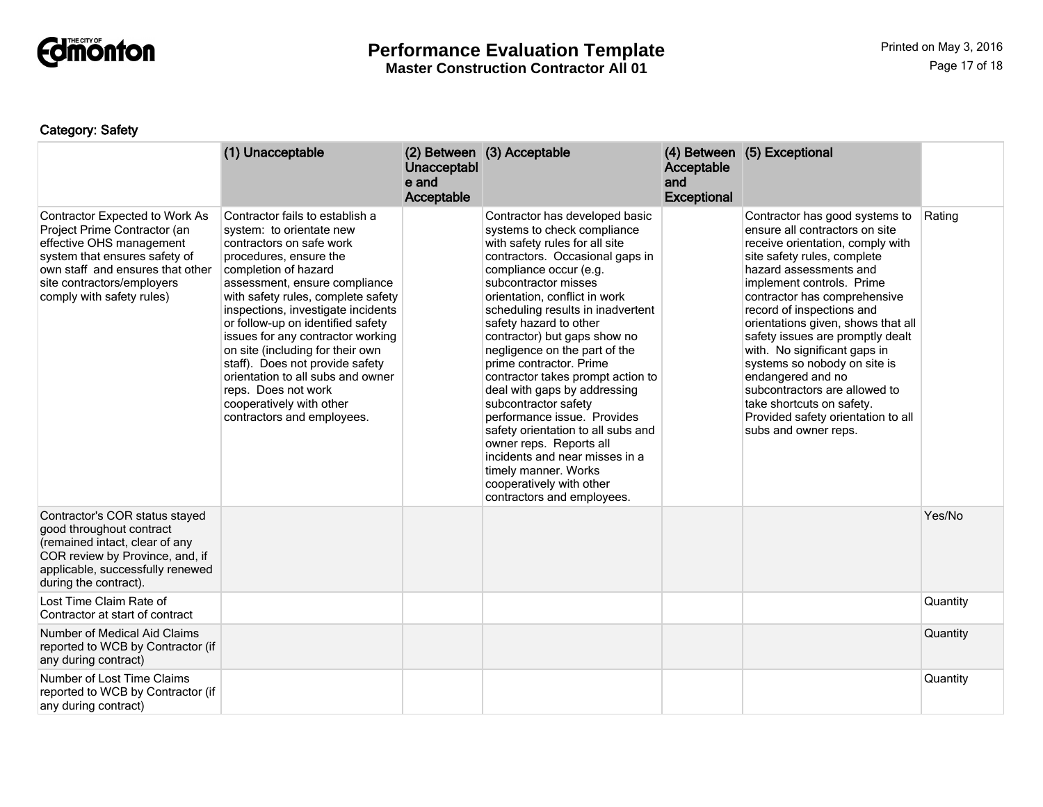

# **Performance Evaluation Template**

**Master Construction Contractor All 01**

# Category: Safety

|                                                                                                                                                                                                                            | (1) Unacceptable                                                                                                                                                                                                                                                                                                                                                                                                                                                                                                              | Unacceptabl<br>e and<br>Acceptable | (2) Between (3) Acceptable                                                                                                                                                                                                                                                                                                                                                                                                                                                                                                                                                                                                                                                                        | Acceptable<br>and<br><b>Exceptional</b> | (4) Between (5) Exceptional                                                                                                                                                                                                                                                                                                                                                                                                                                                                                                                        |          |
|----------------------------------------------------------------------------------------------------------------------------------------------------------------------------------------------------------------------------|-------------------------------------------------------------------------------------------------------------------------------------------------------------------------------------------------------------------------------------------------------------------------------------------------------------------------------------------------------------------------------------------------------------------------------------------------------------------------------------------------------------------------------|------------------------------------|---------------------------------------------------------------------------------------------------------------------------------------------------------------------------------------------------------------------------------------------------------------------------------------------------------------------------------------------------------------------------------------------------------------------------------------------------------------------------------------------------------------------------------------------------------------------------------------------------------------------------------------------------------------------------------------------------|-----------------------------------------|----------------------------------------------------------------------------------------------------------------------------------------------------------------------------------------------------------------------------------------------------------------------------------------------------------------------------------------------------------------------------------------------------------------------------------------------------------------------------------------------------------------------------------------------------|----------|
| Contractor Expected to Work As<br>Project Prime Contractor (an<br>effective OHS management<br>system that ensures safety of<br>own staff and ensures that other<br>site contractors/employers<br>comply with safety rules) | Contractor fails to establish a<br>system: to orientate new<br>contractors on safe work<br>procedures, ensure the<br>completion of hazard<br>assessment, ensure compliance<br>with safety rules, complete safety<br>inspections, investigate incidents<br>or follow-up on identified safety<br>issues for any contractor working<br>on site (including for their own<br>staff). Does not provide safety<br>orientation to all subs and owner<br>reps. Does not work<br>cooperatively with other<br>contractors and employees. |                                    | Contractor has developed basic<br>systems to check compliance<br>with safety rules for all site<br>contractors. Occasional gaps in<br>compliance occur (e.g.<br>subcontractor misses<br>orientation, conflict in work<br>scheduling results in inadvertent<br>safety hazard to other<br>contractor) but gaps show no<br>negligence on the part of the<br>prime contractor. Prime<br>contractor takes prompt action to<br>deal with gaps by addressing<br>subcontractor safety<br>performance issue. Provides<br>safety orientation to all subs and<br>owner reps. Reports all<br>incidents and near misses in a<br>timely manner. Works<br>cooperatively with other<br>contractors and employees. |                                         | Contractor has good systems to<br>ensure all contractors on site<br>receive orientation, comply with<br>site safety rules, complete<br>hazard assessments and<br>implement controls. Prime<br>contractor has comprehensive<br>record of inspections and<br>orientations given, shows that all<br>safety issues are promptly dealt<br>with. No significant gaps in<br>systems so nobody on site is<br>endangered and no<br>subcontractors are allowed to<br>take shortcuts on safety.<br>Provided safety orientation to all<br>subs and owner reps. | Rating   |
| Contractor's COR status stayed<br>good throughout contract<br>(remained intact, clear of any<br>COR review by Province, and, if<br>applicable, successfully renewed<br>during the contract).                               |                                                                                                                                                                                                                                                                                                                                                                                                                                                                                                                               |                                    |                                                                                                                                                                                                                                                                                                                                                                                                                                                                                                                                                                                                                                                                                                   |                                         |                                                                                                                                                                                                                                                                                                                                                                                                                                                                                                                                                    | Yes/No   |
| Lost Time Claim Rate of<br>Contractor at start of contract                                                                                                                                                                 |                                                                                                                                                                                                                                                                                                                                                                                                                                                                                                                               |                                    |                                                                                                                                                                                                                                                                                                                                                                                                                                                                                                                                                                                                                                                                                                   |                                         |                                                                                                                                                                                                                                                                                                                                                                                                                                                                                                                                                    | Quantity |
| Number of Medical Aid Claims<br>reported to WCB by Contractor (if<br>any during contract)                                                                                                                                  |                                                                                                                                                                                                                                                                                                                                                                                                                                                                                                                               |                                    |                                                                                                                                                                                                                                                                                                                                                                                                                                                                                                                                                                                                                                                                                                   |                                         |                                                                                                                                                                                                                                                                                                                                                                                                                                                                                                                                                    | Quantity |
| Number of Lost Time Claims<br>reported to WCB by Contractor (if<br>any during contract)                                                                                                                                    |                                                                                                                                                                                                                                                                                                                                                                                                                                                                                                                               |                                    |                                                                                                                                                                                                                                                                                                                                                                                                                                                                                                                                                                                                                                                                                                   |                                         |                                                                                                                                                                                                                                                                                                                                                                                                                                                                                                                                                    | Quantity |